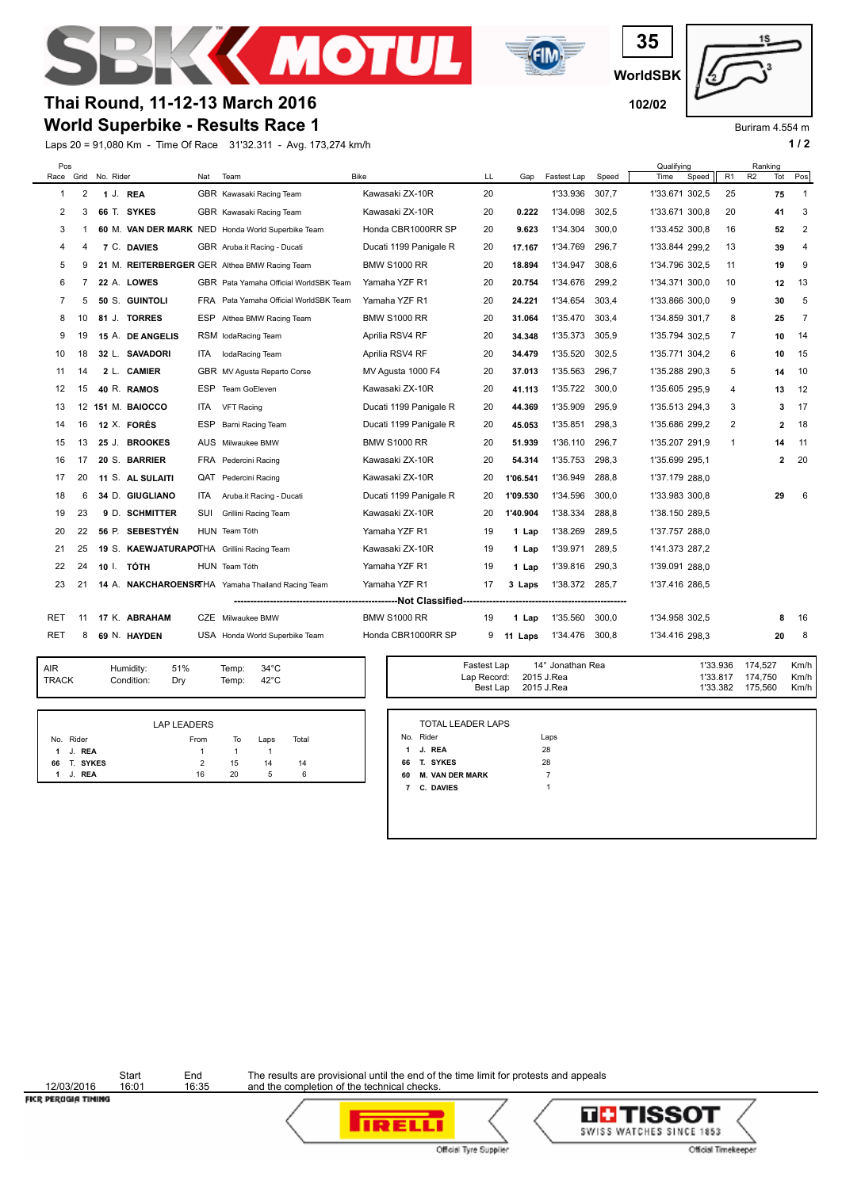



**WorldSBK 35**



Buriram 4.554 m

## **World Superbike - Results Race 1 Thai Round, 11-12-13 March 2016 102/02**

Laps 20 = 91,080 Km - Time Of Race 31'32.311 - Avg. 173,274 km/h **1 / 2**

| Pos        |                                                                 | Race Grid No. Rider |                  | Nat        | Team                                              | <b>Bike</b>            | LL | Gap      | Fastest Lap | Speed | Qualifying<br>Time | Speed | R1 | Ranking<br>R <sub>2</sub> | Tot | Pos            |
|------------|-----------------------------------------------------------------|---------------------|------------------|------------|---------------------------------------------------|------------------------|----|----------|-------------|-------|--------------------|-------|----|---------------------------|-----|----------------|
| 1          | 2                                                               |                     | 1 J. REA         |            | GBR Kawasaki Racing Team                          | Kawasaki ZX-10R        | 20 |          | 1'33.936    | 307,7 | 1'33.671 302,5     |       | 25 |                           | 75  | $\overline{1}$ |
| 2          | 3                                                               |                     | 66 T. SYKES      |            | GBR Kawasaki Racing Team                          | Kawasaki ZX-10R        | 20 | 0.222    | 1'34.098    | 302,5 | 1'33.671 300,8     |       | 20 |                           | 41  | 3              |
| 3          | 1                                                               |                     |                  |            | 60 M. VAN DER MARK NED Honda World Superbike Team | Honda CBR1000RR SP     | 20 | 9.623    | 1'34.304    | 300,0 | 1'33.452 300,8     |       | 16 |                           | 52  | 2              |
| 4          | 4                                                               |                     | 7 C. DAVIES      |            | GBR Aruba.it Racing - Ducati                      | Ducati 1199 Panigale R | 20 | 17.167   | 1'34.769    | 296,7 | 1'33.844 299,2     |       | 13 |                           | 39  | $\overline{4}$ |
| 5          | 9                                                               |                     |                  |            | 21 M. REITERBERGER GER Althea BMW Racing Team     | <b>BMW S1000 RR</b>    | 20 | 18.894   | 1'34.947    | 308.6 | 1'34.796 302,5     |       | 11 |                           | 19  | 9              |
| 6          | 7                                                               |                     | 22 A. LOWES      |            | GBR Pata Yamaha Official WorldSBK Team            | Yamaha YZF R1          | 20 | 20.754   | 1'34.676    | 299,2 | 1'34.371 300.0     |       | 10 |                           | 12  | 13             |
| 7          | 5                                                               |                     | 50 S. GUINTOLI   |            | FRA Pata Yamaha Official WorldSBK Team            | Yamaha YZF R1          | 20 | 24.221   | 1'34.654    | 303,4 | 1'33.866 300,0     |       | 9  |                           | 30  | 5              |
| 8          | 10                                                              |                     | 81 J. TORRES     |            | ESP Althea BMW Racing Team                        | <b>BMW S1000 RR</b>    | 20 | 31.064   | 1'35.470    | 303,4 | 1'34.859 301.7     |       | 8  |                           | 25  | $\overline{7}$ |
| 9          | 19                                                              |                     | 15 A. DE ANGELIS |            | RSM lodaRacing Team                               | Aprilia RSV4 RF        | 20 | 34.348   | 1'35.373    | 305.9 | 1'35.794 302.5     |       | 7  |                           | 10  | 14             |
| 10         | 18                                                              |                     | 32 L. SAVADORI   | ITA.       | <b>IodaRacing Team</b>                            | Aprilia RSV4 RF        | 20 | 34.479   | 1'35.520    | 302,5 | 1'35.771 304.2     |       | 6  |                           | 10  | 15             |
| 11         | 14                                                              |                     | 2 L. CAMIER      |            | GBR MV Agusta Reparto Corse                       | MV Agusta 1000 F4      | 20 | 37.013   | 1'35.563    | 296.7 | 1'35.288 290.3     |       | 5  |                           | 14  | 10             |
| 12         | 15                                                              |                     | 40 R. RAMOS      | ESP.       | Team GoEleven                                     | Kawasaki ZX-10R        | 20 | 41.113   | 1'35.722    | 300,0 | 1'35.605 295.9     |       | 4  |                           | 13  | 12             |
| 13         | 12                                                              |                     | 151 M. BAIOCCO   | ITA.       | <b>VFT Racing</b>                                 | Ducati 1199 Panigale R | 20 | 44.369   | 1'35.909    | 295,9 | 1'35.513 294,3     |       | 3  |                           | 3   | 17             |
| 14         | 16                                                              |                     | 12 X. FORÉS      | <b>ESP</b> | Barni Racing Team                                 | Ducati 1199 Panigale R | 20 | 45.053   | 1'35.851    | 298,3 | 1'35.686 299,2     |       | 2  |                           | 2   | 18             |
| 15         | 13                                                              |                     | 25 J. BROOKES    |            | AUS Milwaukee BMW                                 | BMW S1000 RR           | 20 | 51.939   | 1'36.110    | 296,7 | 1'35.207 291,9     |       | -1 |                           | 14  | 11             |
| 16         | 17                                                              |                     | 20 S. BARRIER    |            | FRA Pedercini Racing                              | Kawasaki ZX-10R        | 20 | 54.314   | 1'35.753    | 298.3 | 1'35.699 295,1     |       |    |                           | 2   | 20             |
| 17         | 20                                                              |                     | 11 S. AL SULAITI |            | QAT Pedercini Racing                              | Kawasaki ZX-10R        | 20 | 1'06.541 | 1'36.949    | 288,8 | 1'37.179 288.0     |       |    |                           |     |                |
| 18         | 6                                                               |                     | 34 D. GIUGLIANO  | ITA.       | Aruba.it Racing - Ducati                          | Ducati 1199 Panigale R | 20 | 1'09.530 | 1'34.596    | 300,0 | 1'33.983 300,8     |       |    |                           | 29  | 6              |
| 19         | 23                                                              |                     | 9 D. SCHMITTER   | <b>SUI</b> | Grillini Racing Team                              | Kawasaki ZX-10R        | 20 | 1'40.904 | 1'38.334    | 288.8 | 1'38.150 289.5     |       |    |                           |     |                |
| 20         | 22                                                              |                     | 56 P. SEBESTYÉN  |            | HUN Team Tóth                                     | Yamaha YZF R1          | 19 | 1 Lap    | 1'38.269    | 289.5 | 1'37.757 288.0     |       |    |                           |     |                |
| 21         | 25                                                              |                     |                  |            | 19 S. KAEWJATURAPOTHA Grillini Racing Team        | Kawasaki ZX-10R        | 19 | 1 Lap    | 1'39.971    | 289,5 | 1'41.373 287.2     |       |    |                           |     |                |
| 22         | 24                                                              |                     | 10 I. TÓTH       |            | HUN Team Tóth                                     | Yamaha YZF R1          | 19 | 1 Lap    | 1'39.816    | 290,3 | 1'39.091 288,0     |       |    |                           |     |                |
| 23         | 21                                                              |                     |                  |            | 14 A. NAKCHAROENSRTHA Yamaha Thailand Racing Team | Yamaha YZF R1          | 17 | 3 Laps   | 1'38.372    | 285,7 | 1'37.416 286.5     |       |    |                           |     |                |
|            | -------------Not Classified--<br>------------------------------ |                     |                  |            |                                                   |                        |    |          |             |       |                    |       |    |                           |     |                |
| RET        | -11                                                             |                     | 17 K. ABRAHAM    |            | CZE Milwaukee BMW                                 | <b>BMW S1000 RR</b>    | 19 | 1 Lap    | 1'35.560    | 300.0 | 1'34.958 302.5     |       |    |                           | 8   | 16             |
| <b>RET</b> | 8                                                               |                     | 69 N. HAYDEN     |            | USA Honda World Superbike Team                    | Honda CBR1000RR SP     | 9  | 11 Laps  | 1'34.476    | 300,8 | 1'34.416 298,3     |       |    |                           | 20  | 8              |

TRACK Condition: Dry AIR Humidity:<br>TRACK Condition

51% 34°C Temp: 42°C

|   |             | <b>LAP LEADERS</b> |    |      |       |  |
|---|-------------|--------------------|----|------|-------|--|
|   | No. Rider   | From               | To | Laps | Total |  |
|   | 1 J. REA    |                    |    |      |       |  |
|   | 66 T. SYKES | 2                  | 15 | 14   | 14    |  |
| 1 | J. REA      | 16                 | 20 | 5    | 6     |  |

| Temp: | $34^{\circ}$ C | Fastest Lap            | 14° Jonathan Rea    | 1'33.936 174.527 | Km/h I |
|-------|----------------|------------------------|---------------------|------------------|--------|
| Temp: | $42^{\circ}$ C | Lap Record: 2015 J.Rea |                     | 1'33.817 174.750 | Km/h   |
|       |                |                        | Best Lap 2015 J.Rea | 1'33.382 175.560 | Km/h I |

|    | No. Rider              | Laps |
|----|------------------------|------|
|    | 1 J. REA               | 28   |
| 66 | T. SYKES               | 28   |
| 60 | <b>M. VAN DER MARK</b> | 7    |
| 7  | C. DAVIES              | 1    |

12/03/2016<br>FICR PEROGIA TIMING

Start End<br>16:01 16:35

The results are provisional until the end of the time limit for protests and appeals and the completion of the technical checks.